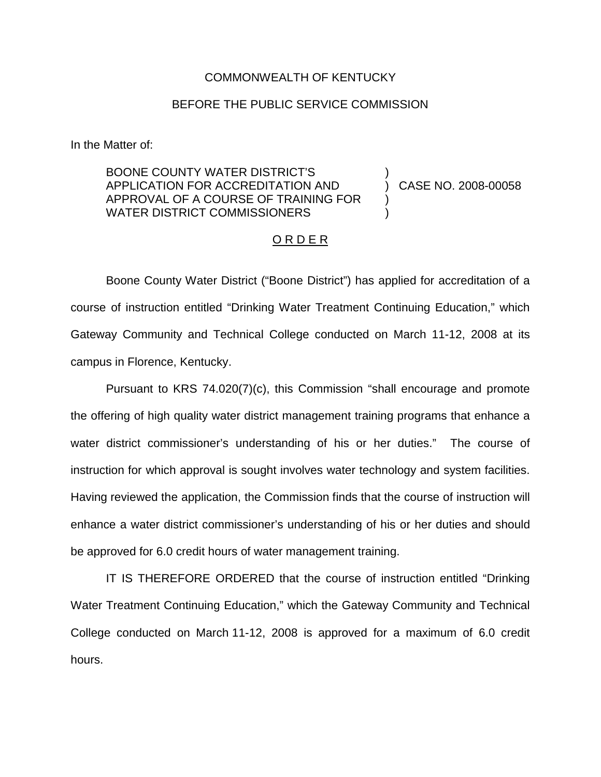## COMMONWEALTH OF KENTUCKY

## BEFORE THE PUBLIC SERVICE COMMISSION

In the Matter of:

BOONE COUNTY WATER DISTRICT'S APPLICATION FOR ACCREDITATION AND APPROVAL OF A COURSE OF TRAINING FOR WATER DISTRICT COMMISSIONERS

) CASE NO. 2008-00058

)

) )

## O R D E R

Boone County Water District ("Boone District") has applied for accreditation of a course of instruction entitled "Drinking Water Treatment Continuing Education," which Gateway Community and Technical College conducted on March 11-12, 2008 at its campus in Florence, Kentucky.

Pursuant to KRS 74.020(7)(c), this Commission "shall encourage and promote the offering of high quality water district management training programs that enhance a water district commissioner's understanding of his or her duties." The course of instruction for which approval is sought involves water technology and system facilities. Having reviewed the application, the Commission finds that the course of instruction will enhance a water district commissioner's understanding of his or her duties and should be approved for 6.0 credit hours of water management training.

IT IS THEREFORE ORDERED that the course of instruction entitled "Drinking Water Treatment Continuing Education," which the Gateway Community and Technical College conducted on March 11-12, 2008 is approved for a maximum of 6.0 credit hours.